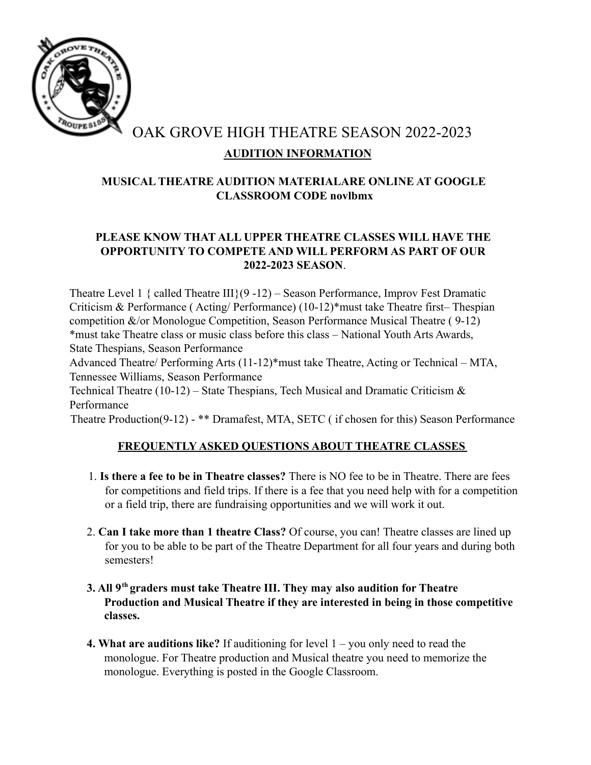

# OAK GROVE HIGH THEATRE SEASON 2022-2023 **AUDITION INFORMATION**

# **MUSICAL THEATRE AUDITION MATERIALARE ONLINE AT GOOGLE CLASSROOM CODE novlbmx**

### **PLEASE KNOW THAT ALL UPPER THEATRE CLASSES WILL HAVE THE OPPORTUNITY TO COMPETE AND WILL PERFORM AS PART OF OUR 2022-2023 SEASON**.

Theatre Level 1 { called Theatre III}( $9-12$ ) – Season Performance, Improv Fest Dramatic Criticism & Performance ( Acting/ Performance) (10-12)\*must take Theatre first– Thespian competition &/or Monologue Competition, Season Performance Musical Theatre ( 9-12) \*must take Theatre class or music class before this class – National Youth Arts Awards, State Thespians, Season Performance

Advanced Theatre/ Performing Arts (11-12)\*must take Theatre, Acting or Technical – MTA, Tennessee Williams, Season Performance

Technical Theatre (10-12) – State Thespians, Tech Musical and Dramatic Criticism  $\&$ Performance

Theatre Production(9-12) - \*\* Dramafest, MTA, SETC ( if chosen for this) Season Performance

# **FREQUENTLY ASKED QUESTIONS ABOUT THEATRE CLASSES**

- 1. **Is there a fee to be in Theatre classes?** There is NO fee to be in Theatre. There are fees for competitions and field trips. If there is a fee that you need help with for a competition or a field trip, there are fundraising opportunities and we will work it out.
- 2. **Can I take more than 1 theatre Class?** Of course, you can! Theatre classes are lined up for you to be able to be part of the Theatre Department for all four years and during both semesters!
- **3. All 9th graders must take Theatre III. They may also audition for Theatre Production and Musical Theatre if they are interested in being in those competitive classes.**
- **4. What are auditions like?** If auditioning for level 1 you only need to read the monologue. For Theatre production and Musical theatre you need to memorize the monologue. Everything is posted in the Google Classroom.